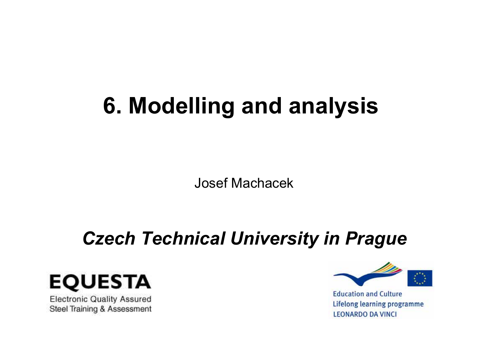# **6. Modelling and analysis**

Josef Machacek

# *Czech Technical University in Prague*



**Electronic Quality Assured** Steel Training & Assessment



**Education and Culture** Lifelong learning programme **LEONARDO DA VINCI**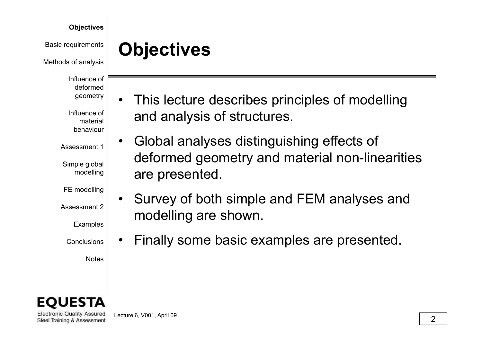Basic requirements

Methods of analysis

Influence of deformedgeometry

Influence of material behaviour

Assessment 1

Simple global modelling

FE modelling

Assessment 2

Examples

**Conclusions** 

Notes



**Electronic Quality Assured** Steel Training & Assessment Lecture 6, V001, April 09  $\overline{\hspace{2cm}}$  2

**Objectives**

- $\bullet$  This lecture describes principles of modelling and analysis of structures.
- $\bullet$  Global analyses distinguishing effects of deformed geometry and material non-linearities  $\log$  are presented.
	- $\bullet$  Survey of both simple and FEM analyses and modelling are shown.
	- • $\vert\bullet\vert$  • Finally some basic examples are presented.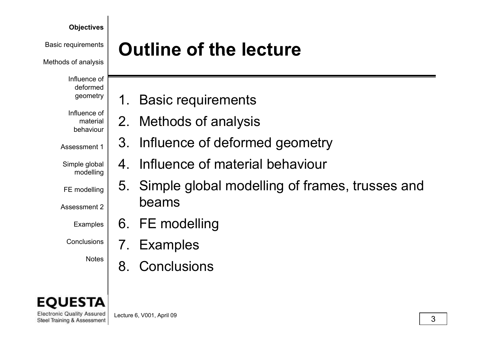Methods of analysis

Influence of deformed geometry

Influence of material behaviour

Assessment 1

Simple global modelling

FE modelling

Assessment 2

Examples

Conclusions

# **Basic requirements | Outline of the lecture**

- 1. Basic requirements
- 2. Methods of analysis
- 3. Influence of deformed geometry
- 4. Influence of material behaviou r
- 5. Simple global modelling of frames, trusses and beams
- 6. FE modelling
- 7. Examples
- $^{\textsf{Notes}}$   $\mid$  8. Conclusions

**Electronic Quality Assured**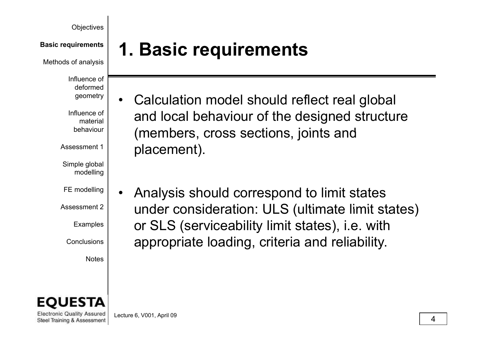Methods of analysis

Influence of deformed geometry

Influence of material behaviour

Assessment 1

Simple global modelling

FE modelling

Assessment 2 $\overline{\phantom{a}}$ 

Examples

**Conclusions** 

Notes

# **1. Basic requirements Basic requirements**

- $\bullet$  Calculation model should reflect real global and local behaviour of the designed structure  $\lceil \cdot \rceil$  (members, cross sections, joints and placement).
- • Analysis should correspond to limit states  $\left.\begin{matrix} \epsilon \ s \end{matrix} \right|$  under consideration: ULS (ultimate limit states)<br>s or SLS (serviceability limit states), i.e. with  $|\hspace{0.1cm}$  appropriate loading, criteria and reliability.



**Electronic Quality Assured** Steel Training & Assessment

Lecture 6, V001, April 09 <sup>4</sup>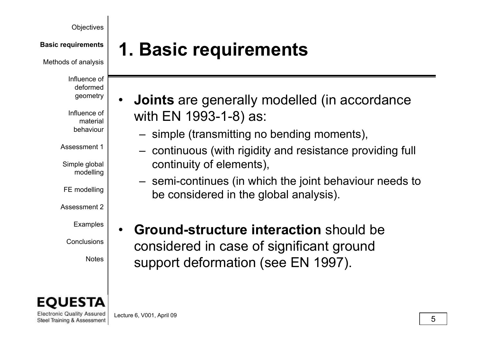Methods of analysis

Influence of deformed geometry

Influence of material behaviour

Assessment 1

Simple global modelling

FE modelling

Assessment 2

Examples

**Conclusions** 



**Electronic Quality Assured** Steel Training & Assessment

# **1. Basic requirements Basic requirements**

- • **Joints** are generally modelled (in accordance with EN 1993-1-8) as:
	- imple (transmitting no bending moments) simple (transmitting no bending moments),
- continuous (with rigidity and resistance providing full  $\mathsf{b}$ al  $\bigcup_{\mathsf{in} \mathsf{a}} \mathsf{continuity}$  of elements),
	- semi-continues (in which the joint behaviour needs to be considered in the global analysis).
- • **Ground-structure interaction** should be  $^{\mathrm{s}}\vert$  considered in case of significant ground  $N^{Notes}$  support deformation (see EN 1997).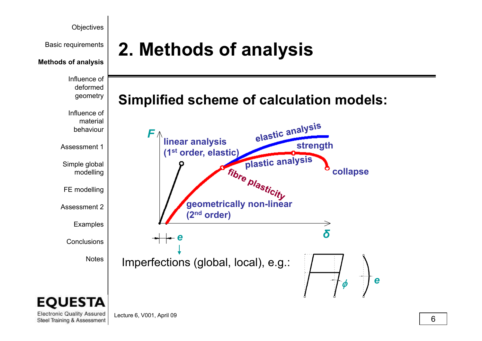

Lecture 6, V001, April 09  $\overline{6}$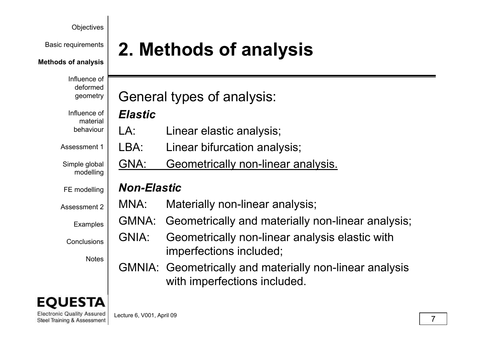#### **Methods of analysis**

Influence of deformed geometry

Influence of material behaviour

Assessment 1

Simple global modelling

FE modelling

Assessment 2

Examples

**Conclusions** 

**Notes** 

# **2.** Methods of analysis

General types of analysis:

### *Elastic*

- $IA$ r | LA: Linear elastic analysis;
	- LBA: Linear bifurcation analysis;
	- GNA: Geometrically non-linear analysis.

### *Non-Elastic*

- MNA: Materially non-linear analysis;
- MNA: Materially non-linear analysis;<br>GMNA: Geometrically and materially non-linear analysis;
- GNIA: Geometrically non-linear analysis elastic with imperfections included;
- GMNIA: Geometrically and materially non-linear analysis with im perfections included.

**Electronic Quality Assured** Steel Training & Assessment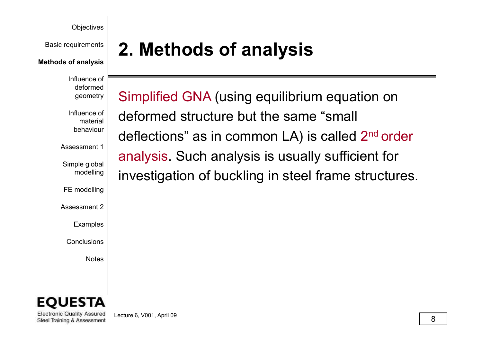#### **Methods of analysis**

Influence of deformed geometry

Influence of material behaviour

Assessment 1

Simple global delling

FE modelling

Assessment 2\_

Examples

Conclusions

Notes



**Electronic Quality Assured** Steel Training & Assessment

**2.** Methods of analysis

Simplified GNA (using equilibrium equation on deformed structure but the same "small deflections" as in common LA) is called 2 deflections" as in common LA) is called 2<sup>nd</sup> ord <sup>nd</sup> order analysis. Such analysis is usually sufficient for investigation of buckling in steel frame structures.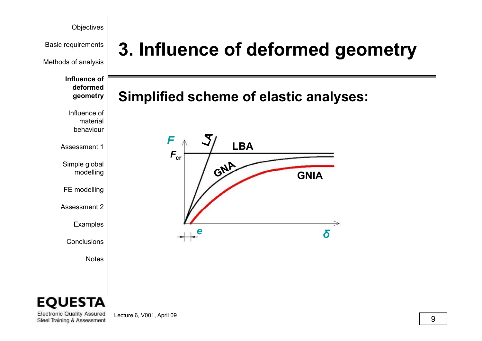

Methods of analysis

**Influence of deformed** 

Influence of material behaviour

Assessment 1

Simple global delling

FE modelling

Assessment 2

Examples

Conclusions

Notes

# **Basic requirements | 3. Influence of deformed geometry**

### **Si lifi d h f l ti l Simplifi e d sc heme o f elastic analyses: geometry**





**Electronic Quality Assured** Steel Training & Assessment

Lecture 6, V001, April 09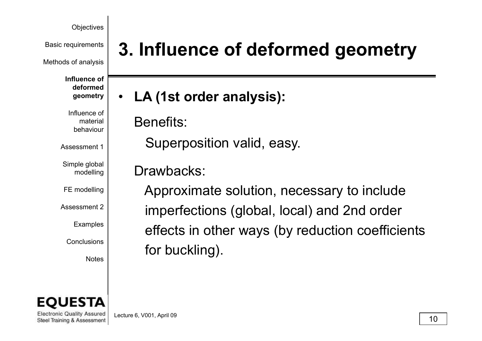Methods of analysis

**Influence of deformed geometry**

Influence of material behaviour

Assessment 1

Simple global modelling

FE modelling

Assessment 2

Examples

Conclusions

**Notes** 

# **Basic requirements | 3. Influence of deformed geometry**

**LA (1 t d l i ) s t or der analysis ):**  $\bullet$ 

Benefits:

Superposition valid, easy.

Drawbacks:

Approximate solution, necessary to include  $^2$ | imperfections (global, local) and 2nd order effects in other ways (by reduction coefficients  $\mathsf{f}\mathsf{or}$  buckling).



**Electronic Quality Assured** Steel Training & Assessment

Lecture 6, V001, April 09  $\boxed{10}$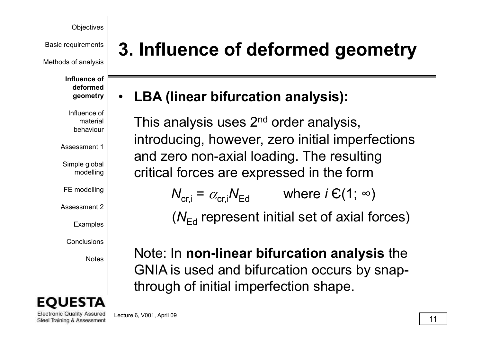Methods of analysis

**Influence of deformed geometry**

Influence of material behaviour

Assessment 1

Simple global modelling

FE modelling

Assessment 2

Examples

Conclusions

Notes



**Electronic Quality Assured** Steel Training & Assessment

# **Basic requirements | 3. Influence of deformed geometry**

#### **LBA (li bif ti l i ) (linear bifurcation analysis ):** •

This analysis uses 2<sup>nd</sup> order analysis, introducing, however, zero initial imperfections and zero non-axial loading. The resulting  $\left. \phantom{\ast}_{\mathsf{ing}}\right\vert$  critical forces are expressed in the form

> $\mathcal{N}_{\mathsf{cr},\mathsf{i}} = \mathscr{A}_{\mathsf{cr},\mathsf{i}}$  $N^{}_{\rm Ed}$  where *i*  $\in$  (1;  $\infty$ )

(N<sub>Ed</sub> represent initial set of axial forces)

Note: In **non-linear bifurcation analysis** the GNIA is used and bifurcation occurs by snapthrough of initial imperfection shape.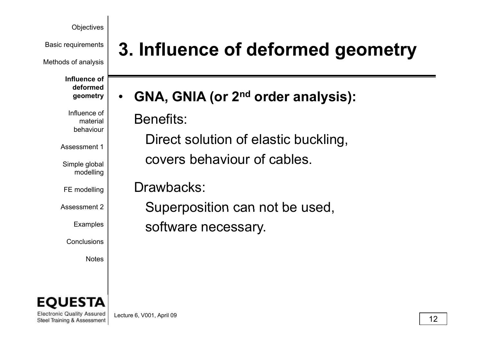Methods of analysis

**Influence of deformed geometry**

Influence of material behaviour

Assessment 1

Simple global modelling

FE modelling

Assessment 2

Examples

Conclusions

Notes

# **Basic requirements | 3. Influence of deformed geometry**

**GNA GNIA ( 2nd d l i) GNA, (or or der analysis ):**  $\bullet$ 

Benefits:

Direct solution of elastic buckling, covers behaviour of cables.

Drawbacks:

<sup>2</sup> Superposition can not be used, software necessary.



**Electronic Quality Assured** Steel Training & Assessment

Lecture 6, V001, April 09  $\boxed{12}$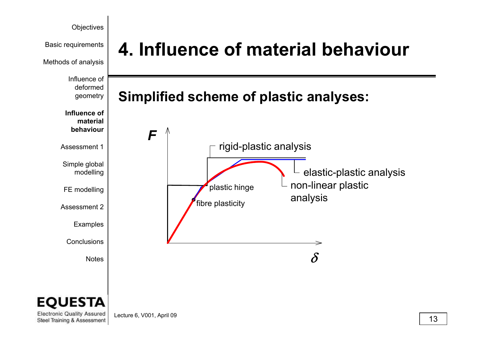

EО STA

**Electronic Quality Assured** Steel Training & Assessment

Lecture 6, V001, April 09  $\boxed{13}$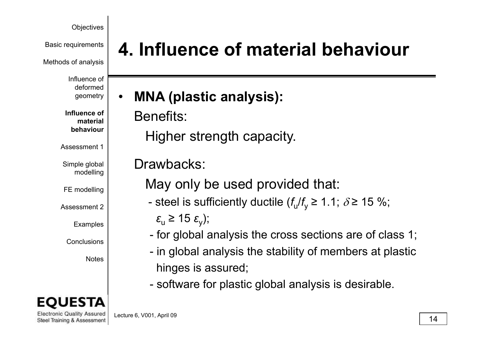Methods of analysis

Influence of deformed geometry

**Influence of material behaviour**

Assessment 1

Simple global modelling

FE modelling

Assessment 2

Examples

Conclusions

Notes

**Electronic Quality Assured** Steel Training & Assessment

# **Basic requirements | 4. Influence of material behaviour**

**MNA ( l ti l i ) plastic analysis ):** •

Benefits:

**Higher strength capacity.** 

Drawbacks:

May only be used provided that:

steel is sufficiently ductile ( $f_{\text{u}}/f_{\text{y}} \geq 1.1$ ;  $\delta$  ≥ 15 %;

 $\varepsilon$ <sub>u</sub> ≥ 15  $\varepsilon$ <sub>y</sub>);

- for global analysis the cross sections are of class 1;
- in global analysis the stability of members at plasti - in global analysis the stability of members at plastic hinges is assured;
- software for plastic global analysis is desirable.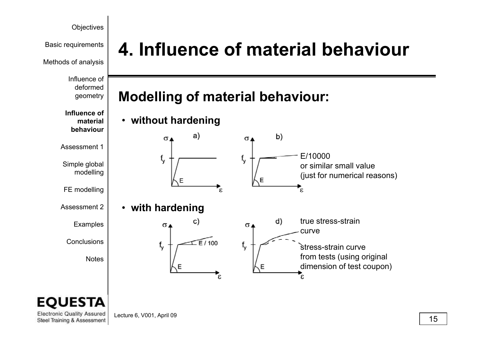Methods of analysis

Influence of deformed

### **Influence of material behaviour**

Assessment 1

Simple global delling

FE modelling

Assessment 2

Examples

Conclusions

Notes

# **Basic requirements | 4. Influence of material behaviour**

## <sup>geometry</sup> | Modelling of material behaviour:

• **without hardening**



## STA.

**Electronic Quality Assured** Steel Training & Assessment

Lecture 6, V001, April 09  $\boxed{15}$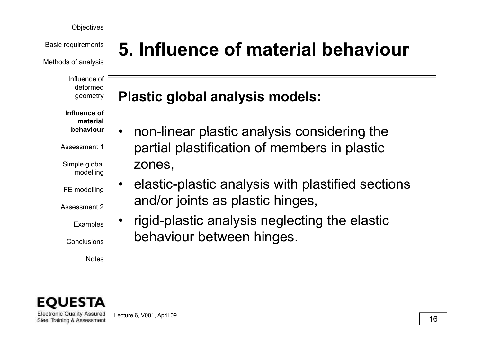Methods of analysis

Influence of deformed geometry

**Influence of material behaviour**

Assessment 1

Simple global modelling

FE modelling

Assessment 2

Examples

Conclusions

Notes

**Electronic Quality Assured** Steel Training & Assessment

# **Basic requirements | 5. Influence of material behaviour**

## **Pl ti l b l l i d l Plastic glo al analysis mo els:**

- •• non-linear plastic analysis considering the partial plastification of members in plastic zones,
- $\begin{array}{|c|c|} \hline \text{ing} & \text{20100}, \ \hline & \text{a} & \text{a} \end{array}$  elastic-plastic analysis with plastified sections and/or joints as plastic hinges,
	- $\bullet$  rigid-plastic analysis neglecting the elastic behaviour between hinges.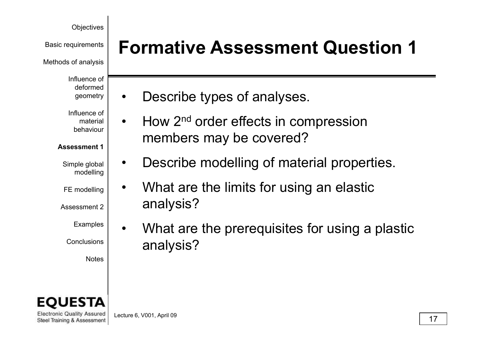Basic requirements

Methods of analysis

Influence of deformed geometry

Influence of

material behaviour

### **Assessment 1**

Simple global modelling

•

- FE modelling
- Assessment 2
	- Examples

Conclusions

Notes

**Electronic Quality Assured** Steel Training & Assessment **Formative Assessment Question 1**

- Describe types of analyses. •
- •How 2<sup>nd</sup> order effects in compression members may be covered?
- Describe modelling of material properties.
- • What are the limits for using an elastic analysis?
- • What are the prerequisites for using a plastic analysis?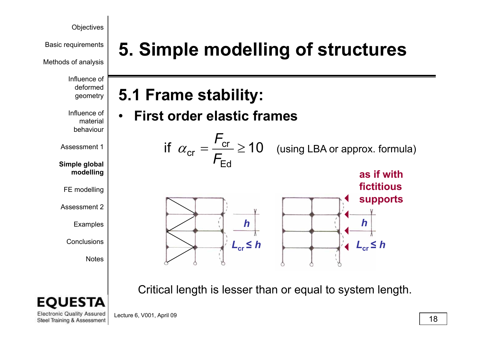**Basic requirements | 5. Simple modelling of structures** 

Methods of analysis

Influence of deformed geometry

Influence of material behaviour

**5 1 Frame stability: 5.1**

•**First order elastic frames** 



**Simple global d llimo elling**

Assessment 1

FE modelling

Assessment 2

Examples

Conclusions

Notes

Critical length is lesser than or equal to system length.



**Electronic Quality Assured** Steel Training & Assessment

Lecture 6, V001, April 09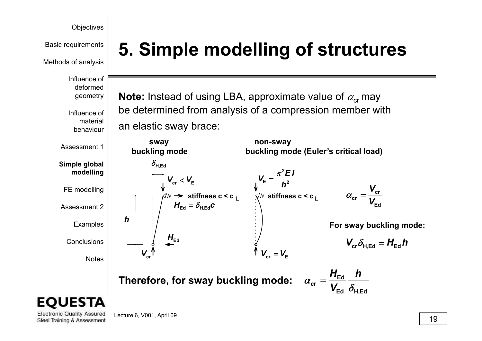

Methods of analysis

Influence of deformed geometry

Influence of material behaviour

Assessment 1

**Simple global d lli mo elling**

FE modelling

Assessment 2

Examples

Conclusions

Notes

# **Basic requirements | 5. Simple modelling of structures**

**Note:** Instead of using LBA, approximate value of  $\alpha_{cr}$  may be determined from analysis of a compression member with an elastic sway brace:

> **non-sway buckling mode (Euler's critical load) 2***E I* **2E** $V_{-} = \frac{N_{-}-1}{N_{-}}$ π=

> > $\alpha$

 *h***stiffness c < c L**

 $V_{\rm cr}=V_{\rm E}$ 

**Edcr** $\alpha_{cr}$ *V*=

*V*

**For sway buckling mode:**

$$
\boldsymbol{V}_{\mathrm{cr}} \delta_{\mathrm{H,Ed}} = \boldsymbol{H}_{\mathrm{Ed}} \boldsymbol{h}
$$

**Therefore, for sway buckling mode:**

 $\bm{\mathsf{H}}_\mathsf{Ed}=\delta_{\mathsf{H},\mathsf{Ed}}\bm{c}$ 

**stiffness c < c L**

 $V_{\rm cr} < V_{\rm E}$ 

 $H_{\text{Ed}}$ 

 $\epsilon_{\text{cr}} = \frac{H_{\text{Ed}}}{V_{\text{Ed}}} \frac{1}{\delta_{\text{d}}}$ *h V*  $=$  $\frac{H}{A}$ **Ed H,Ed**

**Electronic Quality Assured** Steel Training & Assessment

Lecture 6, V001, April 09

 $\bm{V}_{\text{cr}}$ 

*h*

**sway buckling mode**

 $\delta_{\texttt{H,Ed}}$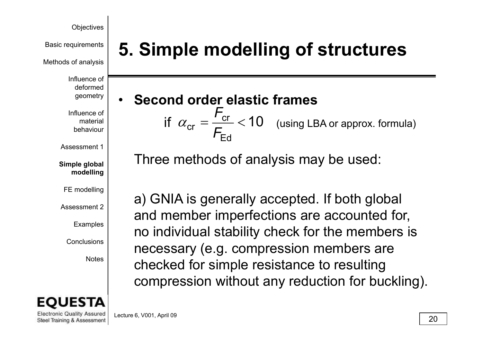Methods of analysis

Influence of deformed geometry

Influence of material behaviour

Assessment 1

**Simple global d lli mo elling**

FE modelling

Assessment 2

Examples

Conclusions

Notes



**Basic requirements | 5. Simple modelling of structures** 

• **Second order elastic frames**  (using LBA or approx. formula)  $=\frac{U}{F_{\rm Ed}}<$  $\alpha_{\rm cr} = \frac{F_{\rm cr}}{F_{\rm Ed}}$ 

Three methods of analysis may be used:

a) GNIA is generally accepted. If both global and member imperfections are accounted for, no individual stability check for the members is necessary (e.g. compression members are checked for simple resistance to resulting compression without any reduction for buckling).

**Electronic Quality Assured** Steel Training & Assessment

Lecture 6, V001, April 09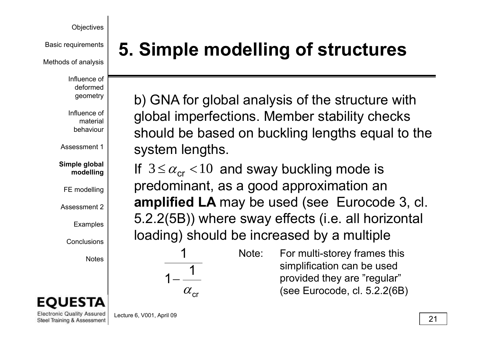Methods of analysis

Influence of deformed geometry

Influence of material behaviour

Assessment 1

**Simple global d llimo e**

FE modelling

Assessment 2

Examples

Conclusions

Notes



**Electronic Quality Assured** Steel Training & Assessment

**Basic requirements | 5. Simple modelling of structures** 

b) GNA for global analysis of the structure with global imperfections. Member stability checks  $\lceil \cdot \rceil$  should be based on buckling lengths equal to the system lengths.

 $\left| \begin{array}{rcl} \mathsf{I}^{\mathsf{I}} & \mathsf{I} & \mathsf{I} & \mathsf{I} & \mathsf{I} & \mathsf{I} \mathsf{I} \mathsf{I} & \mathsf{I} & \mathsf{I} & \mathsf{I} \mathsf{I} & \mathsf{I} \mathsf{I} & \mathsf{I} \mathsf{I} & \mathsf{I} \mathsf{I} \mathsf{I} & \mathsf{I} \mathsf{I} \mathsf{I} & \mathsf{I} \mathsf{I} \mathsf{I} & \mathsf{I} \mathsf{I} \mathsf{I} & \mathsf{I} \mathsf{I} \mathsf{I} &$ amplified LA may be used (see Eurocode 3, cl. lling  $\vert$  ii  $\cup \simeq \omega_{\rm CT}$ 5.2.2(5B)) where sway effects (i.e. all horizontal loading) should be increased by a multiple

> 111 $\alpha_{cr}$

Note: For multi-storey frames this simplification can be used provided they are "regular" (see Eurocode, cl. 5.2.2(6B)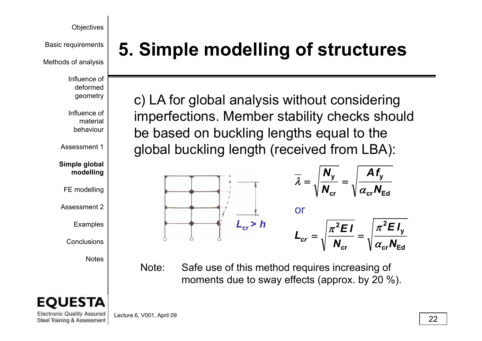Methods of analysis

Influence of deformed geometry

Influence of material behaviour

Assessment 1

**Simple global d lli mo elling**

FE modelling

Assessment 2

Examples

Conclusions

Notes

**Electronic Quality Assured** Steel Training & Assessment

# **Basic requirements | 5. Simple modelling of structures**

c) LA for global analysis without considering imperfections. Member stability checks should  $\lceil \text{ } \rceil$  be based on buckling lengths equal to the global buckling length (received from LBA):



Note: Safe use of this method requires increasing of moments due to sway effects (approx. by 20 %).

Lecture 6, V001, April 09  $\boxed{22}$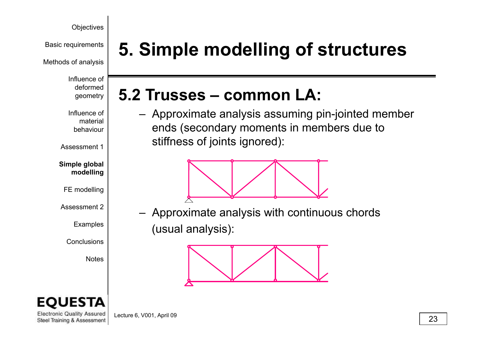Methods of analysis

Influence of deformed

Influence of material behaviour

Assessment 1

**Simple global d lli mo elling**

FE modelling

Assessment 2

Examples

Conclusions

Notes



## geometry **5 2 Trusses common LA: 5.2 Trusses –**

 Approximate analysis assuming pin-jointed member ends (secondary moments in members due to stiffness of joints ignored):



 $\mathcal{L}$   $\blacksquare$   $\blacksquare$  Approximate analysis with continuous chords (usual analysis):



**Electronic Quality Assured** Steel Training & Assessment

Lecture 6, V001, April 09  $\boxed{23}$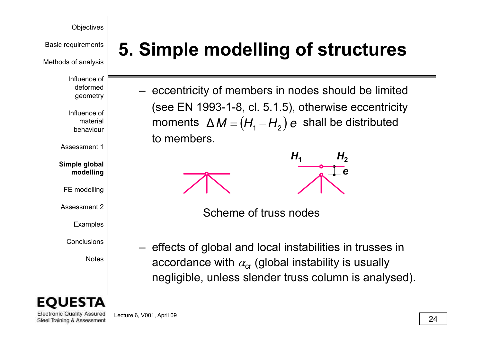Basic requirements

Methods of analysis

Influence of deformed geometry

Influence of material behaviour

Assessment 1

**Simple global d lli mo elling**

FE modelling

Assessment 2

Examples

Conclusions

Notes



**Electronic Quality Assured** Steel Training & Assessment **5. Simple modelling of structures**

 $-$  eccentricity of members in nodes should be limited (see EN 1993-1-8, cl. 5.1.5), otherwise eccentricity moments  $\Delta M = (H_1 - H_2) e$  shall be distributed to members.



 $\mathsf{C}$  and  $\mathsf{C}$  is defined the Scheme of truss nodes

 $-$  effects of global and local instabilities in trusses in accordance with  $\alpha_{\rm cr}$  (global instability is usually negligible, unless slender truss column is analysed).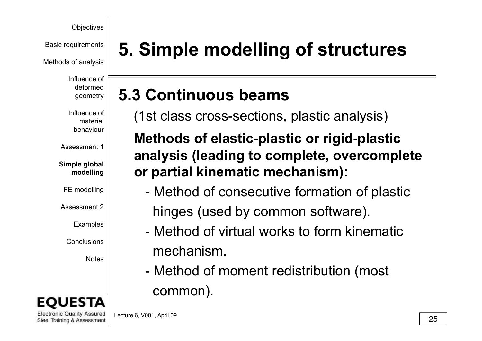Methods of analysis

Influence of deformed geometry

Influence of material behaviour

Assessment 1

**Simple global d llimo elling**

FE modelling

Assessment 2

Examples

Conclusions

Notes



**Basic requirements | 5. Simple modelling of structures** 

### **5 3 Continuous beams5.3**

(1st class cross-sections, plastic analysis)

### **Methods of elastic-plastic or rigid-plastic analysis (leading to complete, overcomplete**   $\left| \begin{array}{c} \mathbf{p} \end{array} \right|$  or partial kinematic mechanism):

- - Method of consecutive formation of plastic  $\mathbb{P}^2$  hinges (used by common software).
	- Method of virtual works to form kinematicmechanism.
	- Method of moment redistribution (most common).

**Electronic Quality Assured** Lecture 6, V001, April 09 Steel Training & Assessment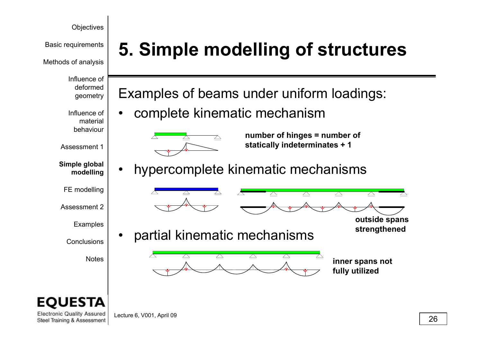Methods of analysis

Influence of deformed geometry

Influence of material behaviour

Assessment 1

**Simple global mod lli e ng**

FE modelling

Assessment 2

Examples

Conclusions

Notes



**Electronic Quality Assured** Steel Training & Assessment

# **Basic requirements | 5. Simple modelling of structures**

Examples of beams under uniform loadings:

 $\bullet$ complete kinematic mechanism



**number of hinges = number of statically indeterminates + 1**

 $\Delta$ 

 $\mathbb{Z}$ 

•hypercomplete kinematic mechanism s





 $\triangle$ 

•partial kinematic mechanisms



**inner spans not fully utilized**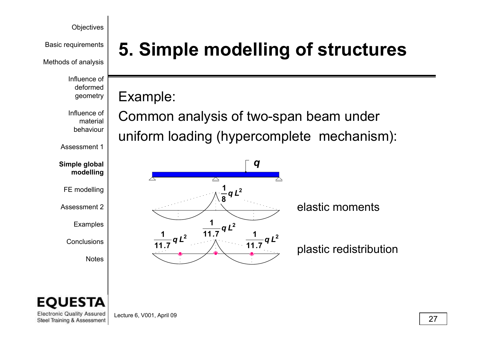Methods of analysis

Influence of deformed geometry

Influence of material behaviour

Assessment 1

**Simple global d lli mo elling**

FE modelling

Assessment 2

Examples

**Conclusions** 

Notes

# **Basic requirements | 5. Simple modelling of structures**

## Example:

Common analysis of two-span beam under uniform loading (hypercomplete mechanism):





**Electronic Quality Assured** Steel Training & Assessment

Lecture 6, V001, April 09  $\sqrt{27}$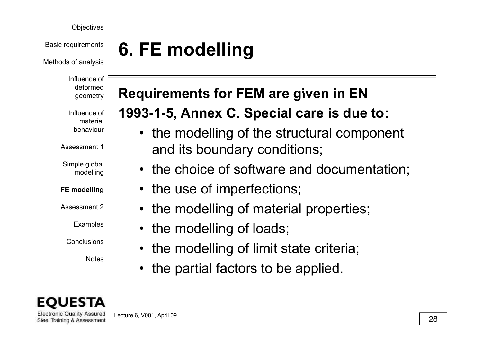Methods of analysis

Influence of deformed geometry

Influence of material behaviour

Assessment 1

Simple global modelling

**FE modelling**

Assessment 2\_

Examples

Conclusions

Notes

**Electronic Quality Assured** Steel Training & Assessment

# **6.** FE modelling

## **Requirements for FEM are given in EN**

## **1993-1-5, Annex C. Special care is due to:**

- $\lceil \cdot \rceil$  the modelling of the structural component and its boundary conditions;
- • $\begin{bmatrix} \mathbf{r}_{\text{ing}} \\ \mathbf{r}_{\text{ing}} \end{bmatrix}$  • the choice of software and documentation;
	- •the use of imperfections;
	- • $\mathbb{R}^2$  • the modelling of material properties;
		- $\bullet$ the modelling of loads;
		- •• the modelling of limit state criteria;
		- •the partial factors to be applied.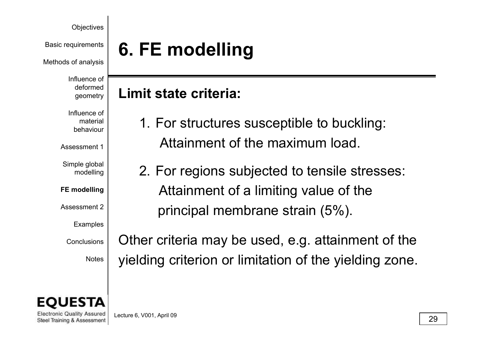Methods of analysis

Influence of geometry

Influence of material behaviour

Assessment 1

Simple global modelling

**FE modelling**

Assessment 2\_

Examples

**Conclusions** 



**Electronic Quality Assured** Steel Training & Assessment

# **6.** FE modelling

## **Limit state criteria:**

- $\left\{\begin{array}{c}\text{deformed} \\ \text{geometry} \\ \text{fluence of} \\ \text{materia} \end{array}\right.\right\}$  Limit state criteria:<br>  $\left.\begin{array}{c}\text{Huence of} \\ \text{materia} \end{array}\right\}$  1. For structures susceptible to buckling: Attainment of the maximum load.
	- $\frac{100}{100}$  | 2. For regions subjected to tensile stresses: Attainment of a limiting value of the  $2$  | erincipal membrane strain (5%).

 $\left|\right.$  Other criteria may be used, e.g. attainment of the Notes | yielding criterion or limitation of the yielding zone.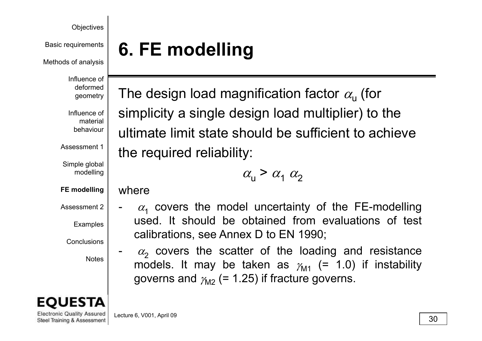Methods of analysis

Influence of geometry

Influence of material behaviour

Assessment 1

Simple global modelling

**FE modelling**

Assessment 2\_

Examples

Conclusions

Notes



**Electronic Quality Assured** Steel Training & Assessment

**6.** FE modelling

<sup>deformed</sup>  $\mid$  The design load magnification factor  $\alpha_{\sf u}$  (for simplicity <sup>a</sup> single design load multiplier) to the ultimate limit state should be sufficient to achieve the required reliability:

 $\alpha_1 \geq \alpha_1 \alpha_2$  $a_{\rm u}$ 

### where

-

- $\alpha_1$  covers the model uncertainty of the FE-modelling<br>see the should be obtained from evaluations of test and used. It should be obtained from evaluations of test used. It should be obtained from evaluations of test calibrations, see Annex D to EN 1990;
	- $\alpha_2$  covers the scatter of the loading and resistance models. It may be taken as  $\gamma_{\sf M1}$  (= 1.0) if instability governs and  $\gamma_{\rm M2}$  (= 1.25) if fracture governs.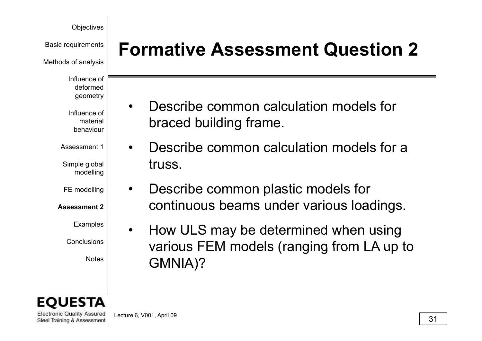Methods of analysis

Influence of deformed geometry

Influence of material behaviour

Assessment 1

Simple global modelling

FE modelling

**Assessment 2**

Examples

**Conclusions** 



**Electronic Quality Assured** Steel Training & Assessment

**Formative Assessment Question 2** Basic requirements

- • Describe common calculation models for braced building frame.
- • Describe common calculation models for a truss.
- $\bullet$  Describe common plastic models for continuous beams under various loadings.
- $\bullet$  How ULS may be determined when using  $\left\vert \begin{array}{c} \text {Various FEM models (ranging from LA up to \textit{GMMIA})?} \end{array} \right.$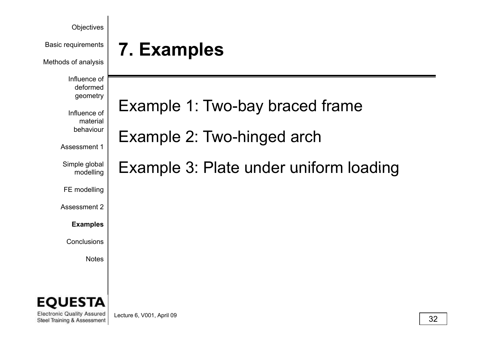| Objectives<br><b>Basic requirements</b><br>Methods of analysis                                                 | 7. Examples                                                                                             |    |
|----------------------------------------------------------------------------------------------------------------|---------------------------------------------------------------------------------------------------------|----|
| Influence of<br>deformed<br>geometry<br>Influence of<br>material<br>behaviour<br>Assessment 1<br>Simple global | Example 1: Two-bay braced frame<br>Example 2: Two-hinged arch<br>Example 3: Plate under uniform loading |    |
| modelling<br>FE modelling<br>Assessment 2<br><b>Examples</b><br>Conclusions<br><b>Notes</b>                    |                                                                                                         |    |
| <b>EQUESTA</b><br><b>Electronic Quality Assured</b><br>Steel Training & Assessment                             | Lecture 6, V001, April 09                                                                               | 32 |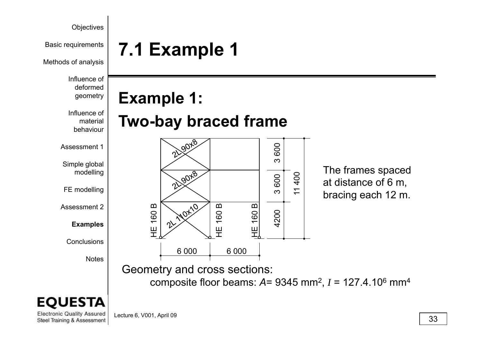

at distance of 6 m, bracing each 12 m.

11 400

Lecture 6, V001, April 09 Steel Training & Assessment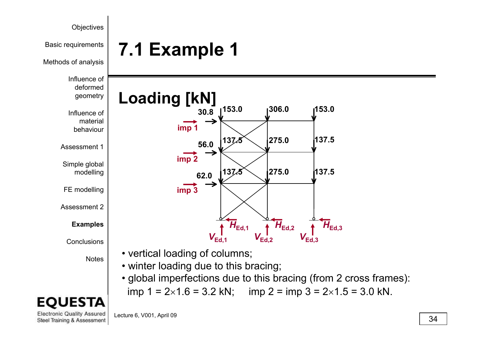

**137.5**

**137 5**

 $\mathcal{H}_{\text{Ed,2}}$   $\uparrow$   $H_{\text{Ed,3}}$ 

 $V_{\sf Ed,3}$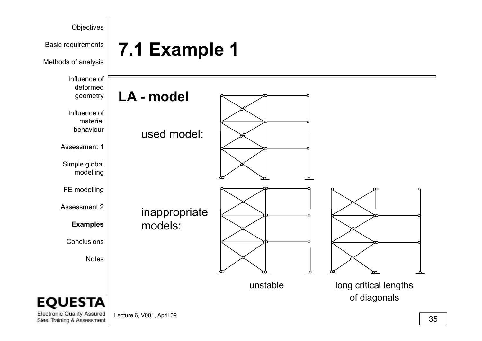

Lecture 6, V001, April 09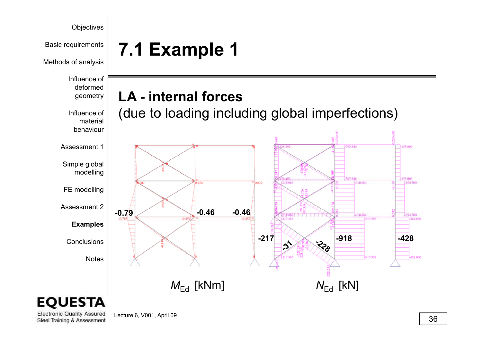

Lecture 6, V001, April 09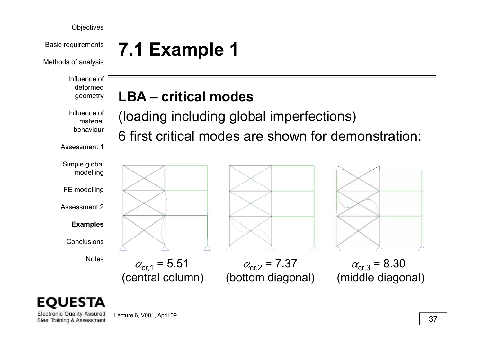**Basic requirements 7.1 Example 1** 

Methods of analysis

Influence of deformed geometry

Influence of material behaviour

Assessment 1

Simple global modelling

FE modelling

Assessment 2

**Examples**

Conclusions

Notes

**LBA iti l d – critical modes**



 $\alpha_{cr,1} = 5.51$   $\alpha_{cr,2} = 7.37$   $\alpha_{cr,3} = 8.30$ 

(central column) (bottom diagonal) (middle diagonal)

(loading including global imperfections)  $\Box$  6 first critical modes are shown for demonstration:

### EΟ ESTA

**Electronic Quality Assured** Steel Training & Assessment

Lecture 6, V001, April 09  $\sqrt{37}$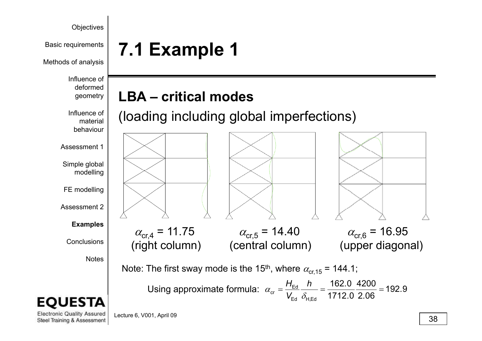

Basic requirements

Methods of analysis

Influence of deformed geometry

Influence of material behaviour

Assessment 1

Simple global modelling

FE modelling

Assessment 2

**Examples**

**Conclusions** 

Notes



**Electronic Quality Assured** Steel Training & Assessment **7.1 Example 1**

### **LBA iti l d LBA – critical modes**

(loading including global imperfections)



Using approximate formula:  $\alpha_{cr} = \frac{H_{\text{Ed}}}{m} - \frac{h}{m} = \frac{162.0}{m} = 192.9$ Using approximate formula:  $\alpha_{\rm cr} = \frac{H_{\rm Ed}}{V_{\rm Ed}} \frac{h}{\delta_{\rm H,Ed}} = \frac{162.0}{1712.0} \frac{4200}{2.06} = 192.$ 

Lecture 6, V001, April 09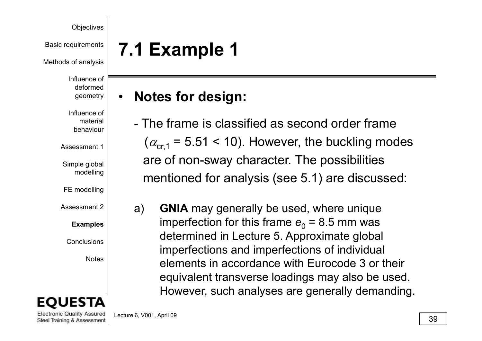Basic requirements

Methods of analysis

Influence of deformed geometry

Influence of material behaviour

Assessment 1

Simple global modelling

FE modelling

Assessment 2\_

### **Examples**

Conclusions

Notes

**Electronic Quality Assured** Steel Training & Assessment **7.1 Example 1**

#### **Nt f d i Notes for design:** •

- The frame is classified as second order frame  $(\alpha_{\text{cr1}} = 5.51 < 10)$ . However, the buckling modes are of non-sway character. The possibilities mentioned for analysis (see 5.1) are discussed:
- <sup>2</sup> a) **GNIA** may generally be used, where unique imperfection for this frame  $e_{\rm 0}$  = 8.5 mm was determined in Lecture 5. Approximate global imperfections and imperfections of individual<br>elements in accordance with Eurocode 3 or their equivalent transverse loadings may also be used. However, such analyses are generally demanding.

Lecture 6, V001, April 09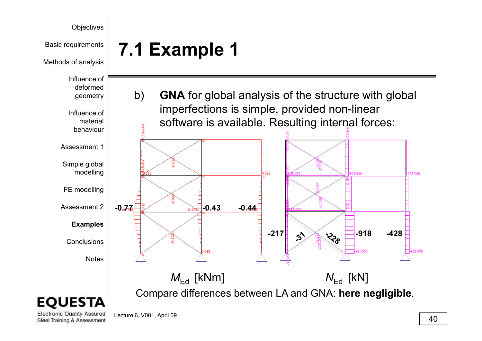

#### **Electronic Quality Assured** Lecture 6, V001, April 09 Steel Training & Assessment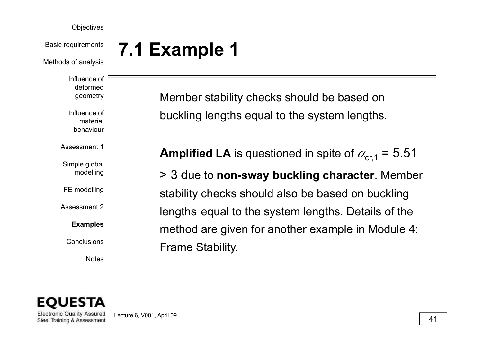Methods of analysis

Influence of deformed geometry

Influence of material behaviour

Assessment 1

Simple global modelling

FE modelling

Assessment 2\_

**Examples**

**Conclusions** 

Notes

# **Basic requirements 7.1 Example 1**

Member stability checks should be based on buckling lengths equal to the system lengths.

**Amplified LA** is questioned in spite of  $\alpha_{cr,1} = 5.51$ 

<sup>ing</sup> |  $\qquad$  > 3 due to **non-sway buckling character**. Member stability checks should also be based on buckling  $\mathcal{L}$  lengths equal to the system lengths. Details of the method are given for another example in Module 4:  $\mathbb{R}$  Frame Stability.



**Electronic Quality Assured** Steel Training & Assessment

Lecture 6, V001, April 09  $\sqrt{41}$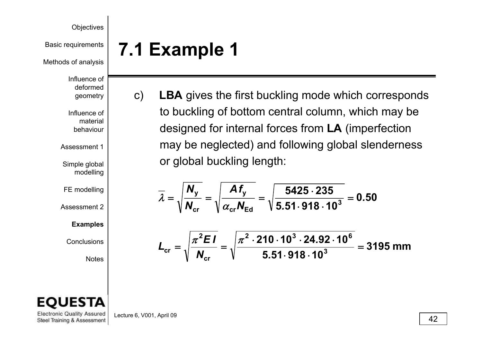Basic requirements

Methods of analysis

Influence of deformed geometry

Influence of material behaviour

Assessment 1

Simple global modelling

FE modelling

Assessment 2

**Examples**

Conclusions

Notes



c) LBA gives the first buckling mode which corresponds to buckling of bottom central column, which may be designed for internal forces from **LA** (imperfection may be neglected) and following global slenderness or global buckling length:

$$
\overline{\lambda} = \sqrt{\frac{N_{y}}{N_{\text{cr}}}} = \sqrt{\frac{Af_{y}}{\alpha_{\text{cr}}N_{\text{Ed}}}} = \sqrt{\frac{5425 \cdot 235}{5.51 \cdot 918 \cdot 10^{3}}} = 0.50
$$

$$
L_{cr} = \sqrt{\frac{\pi^2 EI}{N_{cr}}} = \sqrt{\frac{\pi^2 \cdot 210 \cdot 10^3 \cdot 24.92 \cdot 10^6}{5.51 \cdot 918 \cdot 10^3}} = 3195 \text{ mm}
$$

**Electronic Quality Assured** Steel Training & Assessment Lecture 6, V001, April 09  $\sqrt{42}$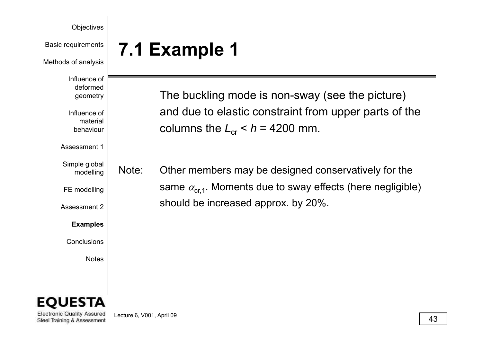Basic requirements

Methods of analysis

Influence of deformed geometry

Influence of material behaviour

Assessment 1

Simple global modelling

FE modelling

Assessment 2

**Examples**

Conclusions

Notes

The buckling mode is non-sway (see the picture) and due to elastic constraint from upper parts of the  $\left| \right|$  columns the  $\left| L_{\text{cr}} \right| < h = 4200$  mm.

Note: $\frac{d}{d}$  Note: Other members may be designed conservatively for the same  $\alpha_{cr,1}$ . Moments due to sway effects (here negligible) should be increased approx. by 20%.



**Electronic Quality Assured** Steel Training & Assessment

Lecture 6, V001, April 09  $\sqrt{43}$ 

**7.1 Example 1**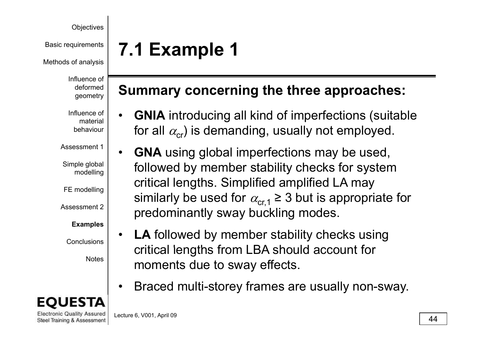Basic requirements

Methods of analysis

Influence of deformed geometry

Influence of material behaviour

Assessment 1

Simple global modelling

FE modelling

Assessment 2

### **Examples**

Conclusions

Notes



**Electronic Quality Assured** Steel Training & Assessment

# **7.1 Example 1**

### **Summary concerning the three approaches:**

- • **GNIA** introducing all kind of imperfections (suitable  $\mathsf{r}\hspace{.1mm}|\hspace{.1cm}$  for all  $\alpha_{\mathsf{cr}}$ ) is demanding, usually not employed.
- $\bullet$  **GNA** using global imperfections may be used,  $f_{\text{incl}}^{\text{bal}}$  followed by member stability checks for system critical lengths. Simplified amplified LA may similarly be used for  $\alpha_{cr,1} \geq 3$  but is appropriate for predominantly sway buckling modes.
	- $\bullet$  **LA** followed by member stability checks using critical lengths from LBA should account for moments due to sway effects.
	- •• Braced multi-storey frames are usually non-sway.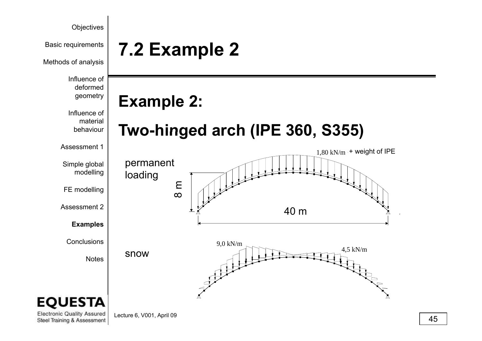

Lecture 6, V001, April 09  $\sqrt{45}$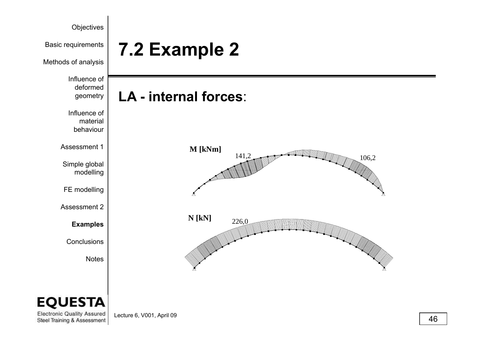

Lecture 6, V001, April 09  $\sqrt{46}$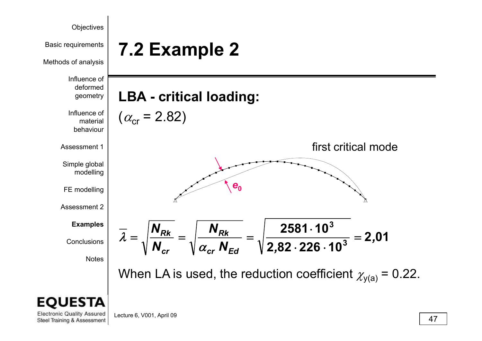

Lecture 6, V001, April 09  $\sqrt{47}$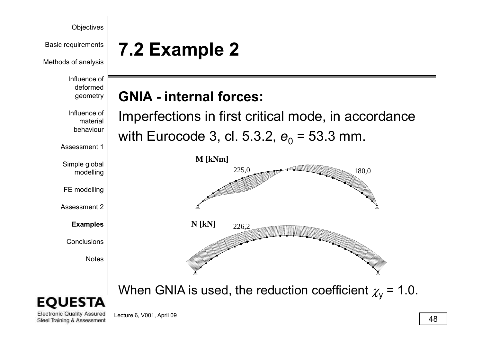Methods of analysis

Influence of deformed geometry

Influence of material behaviour

Assessment 1

Simple global modelling

FE modelling

Assessment 2

**Examples**

Conclusions

Notes

# **Example 2 Pasic requirements** | **7.2 <b>Example** 2

### **GNIA i t lf - internal forces:**

Imperfections in first critical mode, in accordance with Eurocode 3, cl. 5.3.2, *e*<sub>0</sub> = 53.3 mm.



When GNIA is used, the reduction coefficient  $\chi_{{\sf y}}$  = 1.0.



**Electronic Quality Assured** Steel Training & Assessment

Lecture 6, V001, April 09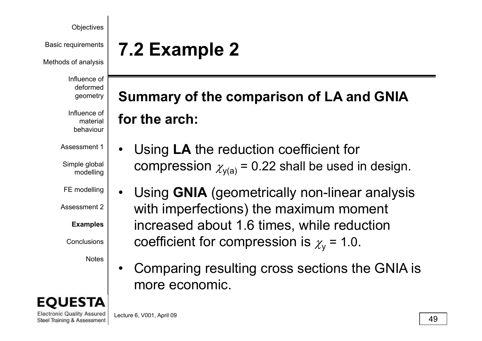Methods of analysis

Influence of deformed geometry

Influence of material behaviour

Assessment 1

Simple global modelling

FE modelling

Assessment 2\_

**Examples**

**Conclusions** 

Notes

**Electronic Quality Assured** Steel Training & Assessment

# **Example 2 Pasic requirements** | **7.2 <b>Example** 2

### **S f th i f LA d GNIA** Summary of the comparison of LA and<br>for the arch: for the arch:

- • Using **LA** the reduction coefficient for  $c$  compression  $\chi_{y({\mathbf a})}$  = 0.22 shall be used in design.
	- • Using **GNIA** (geometrically non-linear analysis  $2$  | with imperfections) the maximum moment increased about 1.6 times, while reduction  $\left.\vphantom{\raisebox{1.5cm}{.}}\right|$  coefficient for compression is  $\chi_{\sf y}$  = 1.0.
		- • Comparing resulting cross sections the GNIA is more economic economic.

Lecture 6, V001, April 09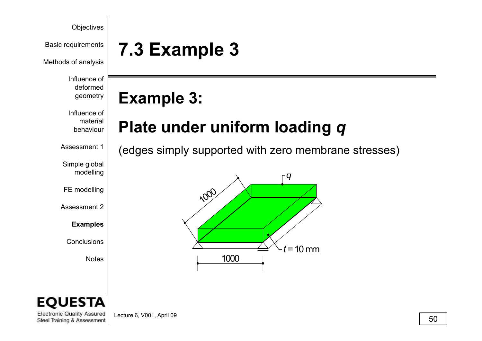Methods of analysis

Influence of deformed geometry

### Influence of material behaviour

Assessment 1

Simple global modelling

FE modelling

Assessment 2

**Examples**

Conclusions

Notes

# **Basic requirements** | 7.3 **Example** 3

## **E l 3 Example 3:**

## **Plate under uniform loading** *q*

(edges simply supported with zero membrane stresses)



### EО **ESTA**

**Electronic Quality Assured** Steel Training & Assessment

Lecture 6, V001, April 09  $\sqrt{50}$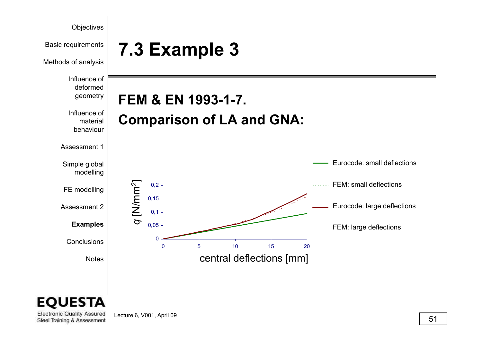

Lecture 6, V001, April 09  $\boxed{51}$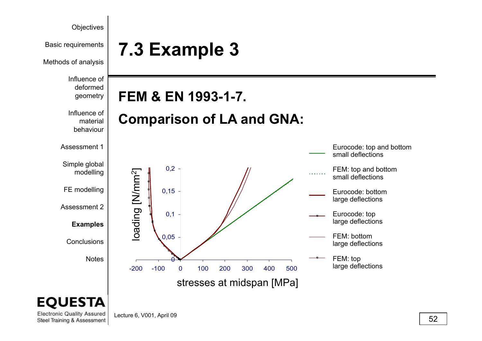

Lecture 6, V001, April 09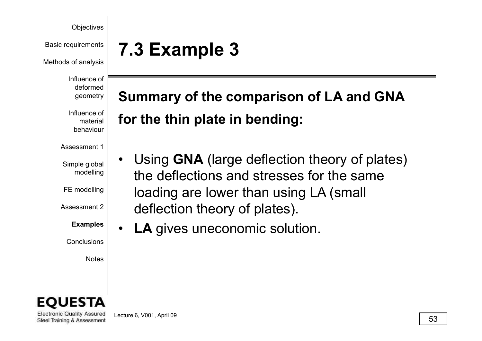Methods of analysis

Influence of deformed geometry

Influence of material behaviour

Assessment 1

Simple global modelling

FE modelling

Assessment 2\_

**Examples**

Conclusions

Notes



**Electronic Quality Assured** Steel Training & Assessment

Lecture 6, V001, April 09  $\overline{\hspace{2cm}}$  53

# **Basic requirements** | 7.3 **Example** 3

# **S f th i f LA d GNA** Summary of the comparison of LA and<br>for the thin plate in bending:

- • Using **GNA** (large deflection theory of plates) the deflections and stresses for the sameloading are lower than using LA (small  $\alpha$  deflection theory of plates).
	- $\bullet$ **LA** gives uneconomic solution.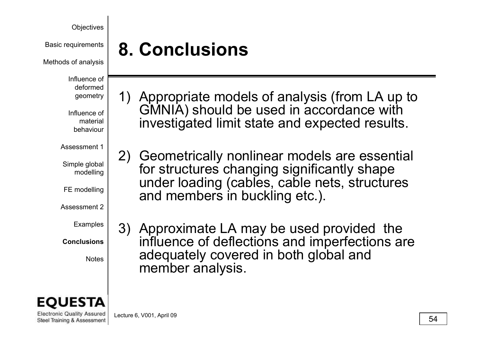Basic requirements

Methods of analysis

Influence of deformed geometry

Influence of material behaviour

Assessment 1

Simple global modelling

FE modelling

Assessment 2

Examples

**Conclusions**

Notes

1) Appropriate models of analysis (from LA up to GMNIA) should be used in accordance with investigated limit state and expected results.

2) Geometrically nonlinear models are essential for structures changing significantly shape under loading (cables, cable nets, structures and members in buckling etc.).

3) Approximate LA may be used provided the s | influence of deflections and imperfections are adequately covered in both global and member analysis.



**Electronic Quality Assured** Steel Training & Assessment

Lecture 6, V001, April 09  $\hspace{1.5cm}$  54

**8. Conclusions**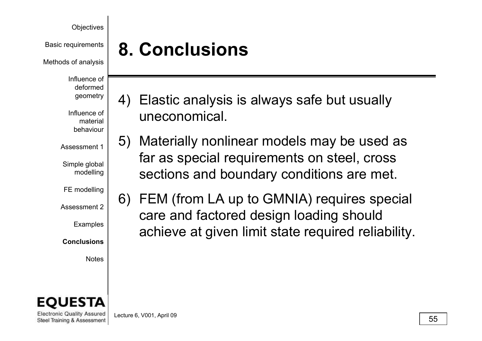Basic requirements

Methods of analysis

Influence of deformed geometry

Influence of material behaviour

Assessment 1

Simple global modelling

FE modelling

Assessment 2

Examples

**Conclusions**

Notes



**Electronic Quality Assured** Steel Training & Assessment

Lecture 6, V001, April 09  $\boxed{55}$ 

# **8. Conclusions**

- 4) Elastic analysis is always safe but usually uneconomical.
- 5) Materially nonlinear models may be used as far as special requirements on steel, cross  $\left\vert \text{ } \right\vert$  sections and boundary conditions are met.
	- 6) FEM (from LA up to GMNIA) requires special care and factored design loading should achieve at given limit state required reliability.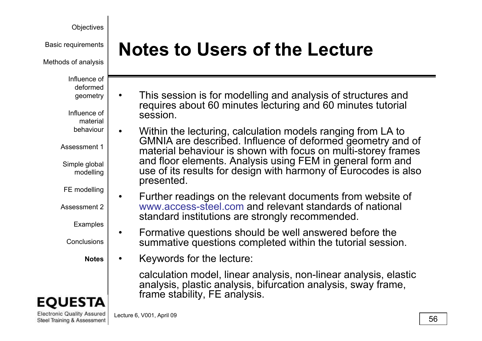Methods of analysis

Influence of deformed

Influence of material

geometry

behaviour

Assessment 1

Simple global modelling

FE modelling

Assessment 2\_

**Examples** 

**Conclusions** 

**Notes**

•

•



**Electronic Quality Assured** Steel Training & Assessment

# Basic requirements **Rotes to Users of the Lecture**

- This session is for modelling and analysis of structures and •requires about 60 minutes lecturing and 60 minutes tutorial session.
- $\bullet$  $\lceil \cdot \rceil$  • Within the lecturing, calculation models ranging from LA to GMNIA are described. Influence of deformed geometry and of material behaviour is shown with focus on multi-storey frames and floor elements. Analysis using FEM in general form and  $\frac{m}{\log n}$  lacks of its results for design with harmony of Eurocodes is also presented.
	- Further readings on the relevant documents from website of 2 www.access-steel.com and relevant standards of national standard institutions are strongly recommended.
	- Formative questions should be well answered before the s | summative questions completed within the tutorial session.
		- •Keywords for the lecture:

calculation model, linear analysis, non-linear analysis, elastic analysis, plastic analysis, bifurcation analysis, sway frame, frame stability, FE analysis.